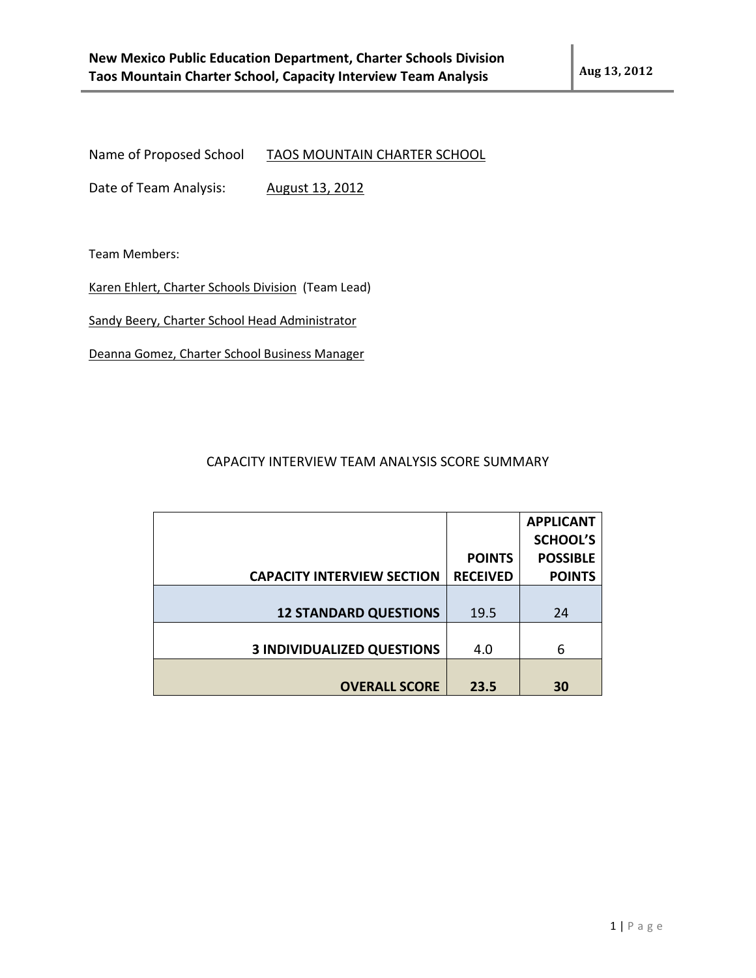Name of Proposed School TAOS MOUNTAIN CHARTER SCHOOL

Date of Team Analysis: August 13, 2012

Team Members:

Karen Ehlert, Charter Schools Division (Team Lead)

Sandy Beery, Charter School Head Administrator

Deanna Gomez, Charter School Business Manager

## CAPACITY INTERVIEW TEAM ANALYSIS SCORE SUMMARY

|                                   |                 | <b>APPLICANT</b> |
|-----------------------------------|-----------------|------------------|
|                                   |                 | <b>SCHOOL'S</b>  |
|                                   | <b>POINTS</b>   | <b>POSSIBLE</b>  |
| <b>CAPACITY INTERVIEW SECTION</b> | <b>RECEIVED</b> | <b>POINTS</b>    |
|                                   |                 |                  |
| <b>12 STANDARD QUESTIONS</b>      | 19.5            | 24               |
|                                   |                 |                  |
| <b>3 INDIVIDUALIZED QUESTIONS</b> | 4.0             | 6                |
|                                   |                 |                  |
| <b>OVERALL SCORE</b>              | 23.5            | 30               |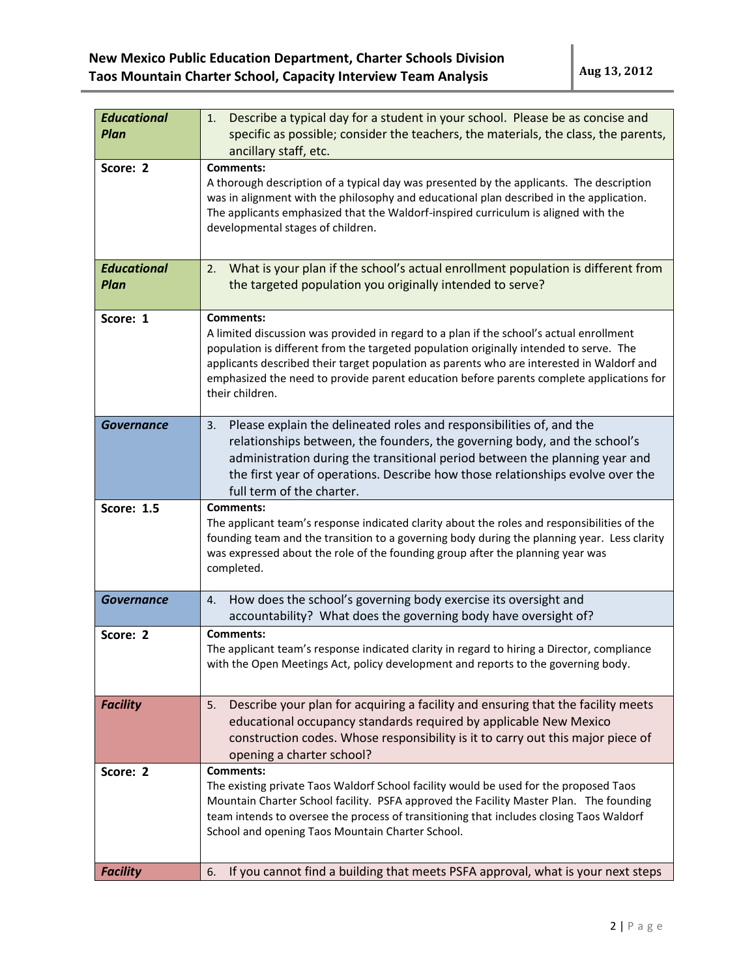| <b>Educational</b><br><b>Plan</b> | Describe a typical day for a student in your school. Please be as concise and<br>1.<br>specific as possible; consider the teachers, the materials, the class, the parents,<br>ancillary staff, etc.                                                                                                                                                                                                               |
|-----------------------------------|-------------------------------------------------------------------------------------------------------------------------------------------------------------------------------------------------------------------------------------------------------------------------------------------------------------------------------------------------------------------------------------------------------------------|
| Score: 2                          | <b>Comments:</b><br>A thorough description of a typical day was presented by the applicants. The description<br>was in alignment with the philosophy and educational plan described in the application.<br>The applicants emphasized that the Waldorf-inspired curriculum is aligned with the<br>developmental stages of children.                                                                                |
| <b>Educational</b><br><b>Plan</b> | What is your plan if the school's actual enrollment population is different from<br>2.<br>the targeted population you originally intended to serve?                                                                                                                                                                                                                                                               |
| Score: 1                          | <b>Comments:</b><br>A limited discussion was provided in regard to a plan if the school's actual enrollment<br>population is different from the targeted population originally intended to serve. The<br>applicants described their target population as parents who are interested in Waldorf and<br>emphasized the need to provide parent education before parents complete applications for<br>their children. |
| <b>Governance</b>                 | Please explain the delineated roles and responsibilities of, and the<br>3.<br>relationships between, the founders, the governing body, and the school's<br>administration during the transitional period between the planning year and<br>the first year of operations. Describe how those relationships evolve over the<br>full term of the charter.                                                             |
| <b>Score: 1.5</b>                 | <b>Comments:</b><br>The applicant team's response indicated clarity about the roles and responsibilities of the<br>founding team and the transition to a governing body during the planning year. Less clarity<br>was expressed about the role of the founding group after the planning year was<br>completed.                                                                                                    |
| <b>Governance</b>                 | How does the school's governing body exercise its oversight and<br>4.<br>accountability? What does the governing body have oversight of?                                                                                                                                                                                                                                                                          |
| Score: 2                          | <b>Comments:</b><br>The applicant team's response indicated clarity in regard to hiring a Director, compliance<br>with the Open Meetings Act, policy development and reports to the governing body.                                                                                                                                                                                                               |
| <b>Facility</b>                   | Describe your plan for acquiring a facility and ensuring that the facility meets<br>5.<br>educational occupancy standards required by applicable New Mexico<br>construction codes. Whose responsibility is it to carry out this major piece of<br>opening a charter school?                                                                                                                                       |
| Score: 2                          | <b>Comments:</b><br>The existing private Taos Waldorf School facility would be used for the proposed Taos<br>Mountain Charter School facility. PSFA approved the Facility Master Plan. The founding<br>team intends to oversee the process of transitioning that includes closing Taos Waldorf<br>School and opening Taos Mountain Charter School.                                                                |
| <b>Facility</b>                   | If you cannot find a building that meets PSFA approval, what is your next steps<br>6.                                                                                                                                                                                                                                                                                                                             |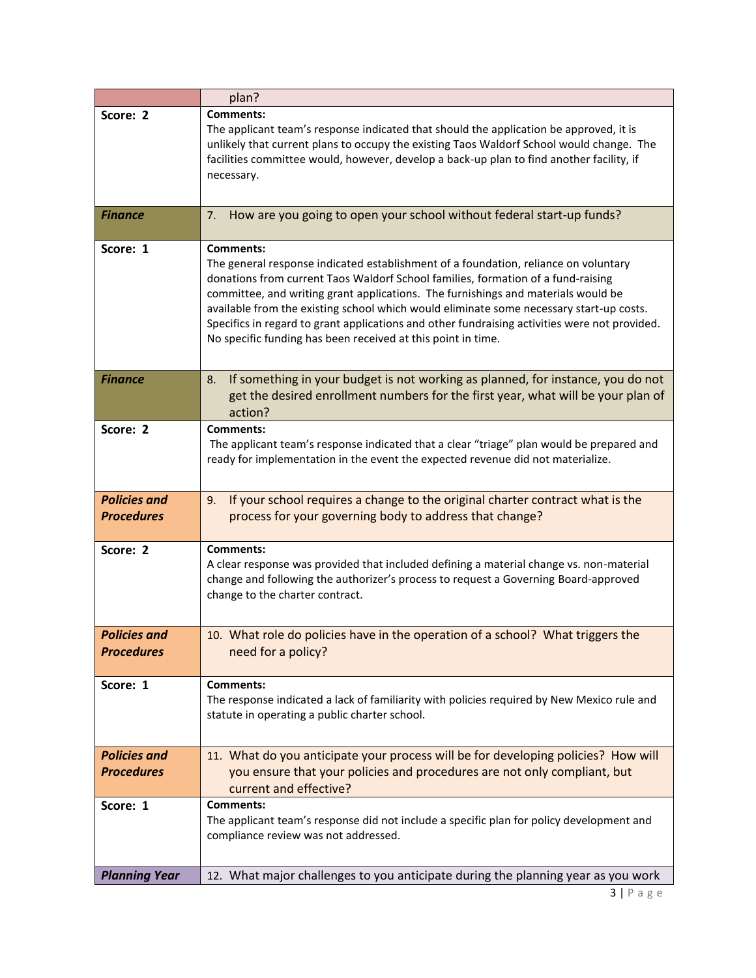|                                          | plan?                                                                                                                                                                                                                                                                                                                                                                                                                                                                                                                                        |
|------------------------------------------|----------------------------------------------------------------------------------------------------------------------------------------------------------------------------------------------------------------------------------------------------------------------------------------------------------------------------------------------------------------------------------------------------------------------------------------------------------------------------------------------------------------------------------------------|
| Score: 2                                 | <b>Comments:</b><br>The applicant team's response indicated that should the application be approved, it is<br>unlikely that current plans to occupy the existing Taos Waldorf School would change. The<br>facilities committee would, however, develop a back-up plan to find another facility, if<br>necessary.                                                                                                                                                                                                                             |
| <b>Finance</b>                           | How are you going to open your school without federal start-up funds?<br>7.                                                                                                                                                                                                                                                                                                                                                                                                                                                                  |
| Score: 1                                 | <b>Comments:</b><br>The general response indicated establishment of a foundation, reliance on voluntary<br>donations from current Taos Waldorf School families, formation of a fund-raising<br>committee, and writing grant applications. The furnishings and materials would be<br>available from the existing school which would eliminate some necessary start-up costs.<br>Specifics in regard to grant applications and other fundraising activities were not provided.<br>No specific funding has been received at this point in time. |
| <b>Finance</b>                           | If something in your budget is not working as planned, for instance, you do not<br>8.<br>get the desired enrollment numbers for the first year, what will be your plan of<br>action?                                                                                                                                                                                                                                                                                                                                                         |
| Score: 2                                 | <b>Comments:</b><br>The applicant team's response indicated that a clear "triage" plan would be prepared and<br>ready for implementation in the event the expected revenue did not materialize.                                                                                                                                                                                                                                                                                                                                              |
| <b>Policies and</b><br><b>Procedures</b> | If your school requires a change to the original charter contract what is the<br>9.<br>process for your governing body to address that change?                                                                                                                                                                                                                                                                                                                                                                                               |
| Score: 2                                 | <b>Comments:</b><br>A clear response was provided that included defining a material change vs. non-material<br>change and following the authorizer's process to request a Governing Board-approved<br>change to the charter contract.                                                                                                                                                                                                                                                                                                        |
| <b>Policies and</b><br><b>Procedures</b> | 10. What role do policies have in the operation of a school? What triggers the<br>need for a policy?                                                                                                                                                                                                                                                                                                                                                                                                                                         |
| Score: 1                                 | <b>Comments:</b><br>The response indicated a lack of familiarity with policies required by New Mexico rule and<br>statute in operating a public charter school.                                                                                                                                                                                                                                                                                                                                                                              |
| <b>Policies and</b><br><b>Procedures</b> | 11. What do you anticipate your process will be for developing policies? How will<br>you ensure that your policies and procedures are not only compliant, but<br>current and effective?                                                                                                                                                                                                                                                                                                                                                      |
| Score: 1                                 | <b>Comments:</b><br>The applicant team's response did not include a specific plan for policy development and<br>compliance review was not addressed.                                                                                                                                                                                                                                                                                                                                                                                         |
| <b>Planning Year</b>                     | 12. What major challenges to you anticipate during the planning year as you work                                                                                                                                                                                                                                                                                                                                                                                                                                                             |